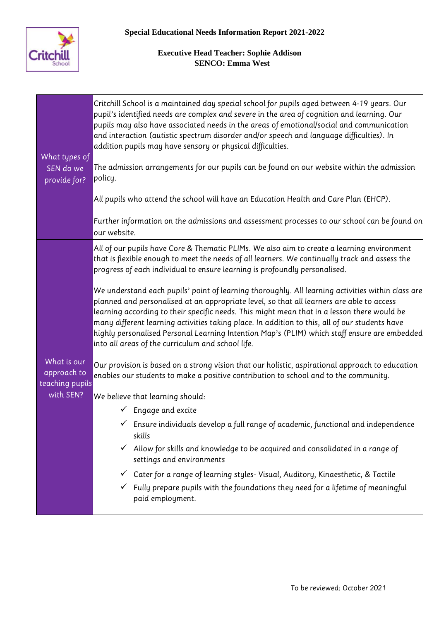

| What types of<br>SEN do we<br>provide for? | Critchill School is a maintained day special school for pupils aged between 4-19 years. Our<br>pupil's identified needs are complex and severe in the area of cognition and learning. Our<br>pupils may also have associated needs in the areas of emotional/social and communication<br>and interaction (autistic spectrum disorder and/or speech and language difficulties). In<br>addition pupils may have sensory or physical difficulties.<br>The admission arrangements for our pupils can be found on our website within the admission<br>policy.<br>All pupils who attend the school will have an Education Health and Care Plan (EHCP).<br>Further information on the admissions and assessment processes to our school can be found on<br>our website.                                                                                                                                                                      |
|--------------------------------------------|---------------------------------------------------------------------------------------------------------------------------------------------------------------------------------------------------------------------------------------------------------------------------------------------------------------------------------------------------------------------------------------------------------------------------------------------------------------------------------------------------------------------------------------------------------------------------------------------------------------------------------------------------------------------------------------------------------------------------------------------------------------------------------------------------------------------------------------------------------------------------------------------------------------------------------------|
| What is our<br>approach to                 | All of our pupils have Core & Thematic PLIMs. We also aim to create a learning environment<br>that is flexible enough to meet the needs of all learners. We continually track and assess the<br>progress of each individual to ensure learning is profoundly personalised.<br>We understand each pupils' point of learning thoroughly. All learning activities within class are<br>planned and personalised at an appropriate level, so that all learners are able to access<br>learning according to their specific needs. This might mean that in a lesson there would be<br>many different learning activities taking place. In addition to this, all of our students have<br>highly personalised Personal Learning Intention Map's (PLIM) which staff ensure are embedded<br>into all areas of the curriculum and school life.<br>Our provision is based on a strong vision that our holistic, aspirational approach to education |
| teaching pupils                            | enables our students to make a positive contribution to school and to the community.                                                                                                                                                                                                                                                                                                                                                                                                                                                                                                                                                                                                                                                                                                                                                                                                                                                  |
| with SEN?                                  | We believe that learning should:                                                                                                                                                                                                                                                                                                                                                                                                                                                                                                                                                                                                                                                                                                                                                                                                                                                                                                      |
|                                            | $\checkmark$ Engage and excite                                                                                                                                                                                                                                                                                                                                                                                                                                                                                                                                                                                                                                                                                                                                                                                                                                                                                                        |
|                                            | Ensure individuals develop a full range of academic, functional and independence<br>skills                                                                                                                                                                                                                                                                                                                                                                                                                                                                                                                                                                                                                                                                                                                                                                                                                                            |
|                                            | Allow for skills and knowledge to be acquired and consolidated in a range of<br>settings and environments                                                                                                                                                                                                                                                                                                                                                                                                                                                                                                                                                                                                                                                                                                                                                                                                                             |
|                                            | Cater for a range of learning styles- Visual, Auditory, Kinaesthetic, & Tactile<br>$\checkmark$                                                                                                                                                                                                                                                                                                                                                                                                                                                                                                                                                                                                                                                                                                                                                                                                                                       |
|                                            | Fully prepare pupils with the foundations they need for a lifetime of meaningful<br>paid employment.                                                                                                                                                                                                                                                                                                                                                                                                                                                                                                                                                                                                                                                                                                                                                                                                                                  |
|                                            |                                                                                                                                                                                                                                                                                                                                                                                                                                                                                                                                                                                                                                                                                                                                                                                                                                                                                                                                       |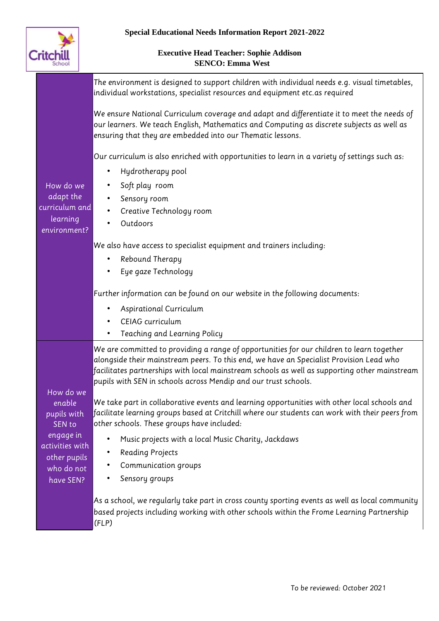

|                                 | The environment is designed to support children with individual needs e.g. visual timetables,<br>individual workstations, specialist resources and equipment etc.as required                                                                                                                                                                             |
|---------------------------------|----------------------------------------------------------------------------------------------------------------------------------------------------------------------------------------------------------------------------------------------------------------------------------------------------------------------------------------------------------|
|                                 | We ensure National Curriculum coverage and adapt and differentiate it to meet the needs of<br>our learners. We teach English, Mathematics and Computing as discrete subjects as well as<br>ensuring that they are embedded into our Thematic lessons.                                                                                                    |
|                                 | Our curriculum is also enriched with opportunities to learn in a variety of settings such as:                                                                                                                                                                                                                                                            |
|                                 | Hydrotherapy pool<br>$\bullet$                                                                                                                                                                                                                                                                                                                           |
| How do we                       | Soft play room                                                                                                                                                                                                                                                                                                                                           |
| adapt the                       | Sensory room                                                                                                                                                                                                                                                                                                                                             |
| curriculum and<br>learning      | Creative Technology room<br>$\bullet$                                                                                                                                                                                                                                                                                                                    |
| environment?                    | Outdoors<br>$\bullet$                                                                                                                                                                                                                                                                                                                                    |
|                                 | We also have access to specialist equipment and trainers including:                                                                                                                                                                                                                                                                                      |
|                                 | Rebound Therapy                                                                                                                                                                                                                                                                                                                                          |
|                                 | Eye gaze Technology                                                                                                                                                                                                                                                                                                                                      |
|                                 | Further information can be found on our website in the following documents:                                                                                                                                                                                                                                                                              |
|                                 | Aspirational Curriculum                                                                                                                                                                                                                                                                                                                                  |
|                                 | CEIAG curriculum                                                                                                                                                                                                                                                                                                                                         |
|                                 | Teaching and Learning Policy<br>$\bullet$                                                                                                                                                                                                                                                                                                                |
| How do we                       | We are committed to providing a range of opportunities for our children to learn together<br>alongside their mainstream peers. To this end, we have an Specialist Provision Lead who<br>facilitates partnerships with local mainstream schools as well as supporting other mainstream<br>pupils with SEN in schools across Mendip and our trust schools. |
| enable<br>pupils with<br>SEN to | We take part in collaborative events and learning opportunities with other local schools and<br> facilitate learning groups based at Critchill where our students can work with their peers from<br>other schools. These groups have included:                                                                                                           |
| engage in<br>activities with    | Music projects with a local Music Charity, Jackdaws                                                                                                                                                                                                                                                                                                      |
| other pupils                    | <b>Reading Projects</b><br>$\bullet$                                                                                                                                                                                                                                                                                                                     |
| who do not                      | Communication groups                                                                                                                                                                                                                                                                                                                                     |
| have SEN?                       | Sensory groups                                                                                                                                                                                                                                                                                                                                           |
|                                 | As a school, we regularly take part in cross county sporting events as well as local community<br>based projects including working with other schools within the Frome Learning Partnership<br>(FLP)                                                                                                                                                     |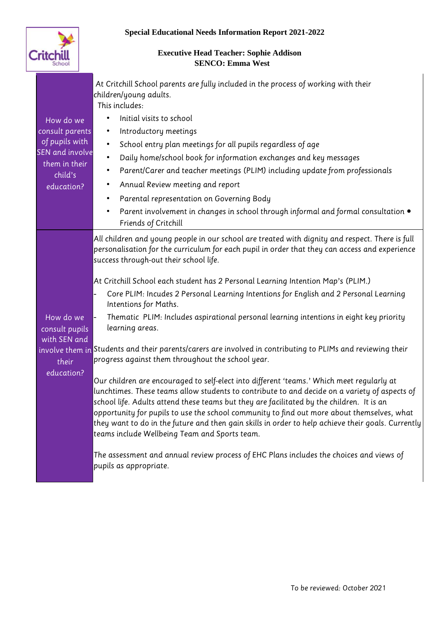

| How do we<br>consult parents<br>of pupils with<br><b>SEN</b> and involve<br>them in their<br>child's<br>education? | At Critchill School parents are fully included in the process of working with their<br>children/young adults.<br>This includes:<br>Initial visits to school<br>$\bullet$<br>Introductory meetings<br>$\bullet$<br>School entry plan meetings for all pupils regardless of age<br>$\bullet$<br>Daily home/school book for information exchanges and key messages<br>Parent/Carer and teacher meetings (PLIM) including update from professionals<br>$\bullet$<br>Annual Review meeting and report<br>$\bullet$<br>Parental representation on Governing Body<br>$\bullet$<br>Parent involvement in changes in school through informal and formal consultation $\bullet$<br>$\bullet$<br>Friends of Critchill                                                                                                                                                                                                                                                                                                                                                                                                                                                                                                                                                                                                                                                                                               |  |
|--------------------------------------------------------------------------------------------------------------------|----------------------------------------------------------------------------------------------------------------------------------------------------------------------------------------------------------------------------------------------------------------------------------------------------------------------------------------------------------------------------------------------------------------------------------------------------------------------------------------------------------------------------------------------------------------------------------------------------------------------------------------------------------------------------------------------------------------------------------------------------------------------------------------------------------------------------------------------------------------------------------------------------------------------------------------------------------------------------------------------------------------------------------------------------------------------------------------------------------------------------------------------------------------------------------------------------------------------------------------------------------------------------------------------------------------------------------------------------------------------------------------------------------|--|
| How do we<br>consult pupils<br>with SEN and<br>their<br>education?                                                 | All children and young people in our school are treated with dignity and respect. There is full<br>personalisation for the curriculum for each pupil in order that they can access and experience<br>success through-out their school life.<br>At Critchill School each student has 2 Personal Learning Intention Map's (PLIM.)<br>Core PLIM: Incudes 2 Personal Learning Intentions for English and 2 Personal Learning<br>Intentions for Maths.<br>Thematic PLIM: Includes aspirational personal learning intentions in eight key priority<br>learning areas.<br>involve them in Students and their parents/carers are involved in contributing to PLIMs and reviewing their<br>progress against them throughout the school year.<br>Our children are encouraged to self-elect into different 'teams.' Which meet regularly at<br>lunchtimes. These teams allow students to contribute to and decide on a variety of aspects of<br>school life. Adults attend these teams but they are facilitated by the children. It is an<br>opportunity for pupils to use the school community to find out more about themselves, what<br>they want to do in the future and then gain skills in order to help achieve their goals. Currently<br>teams include Wellbeing Team and Sports team.<br>The assessment and annual review process of EHC Plans includes the choices and views of<br>pupils as appropriate. |  |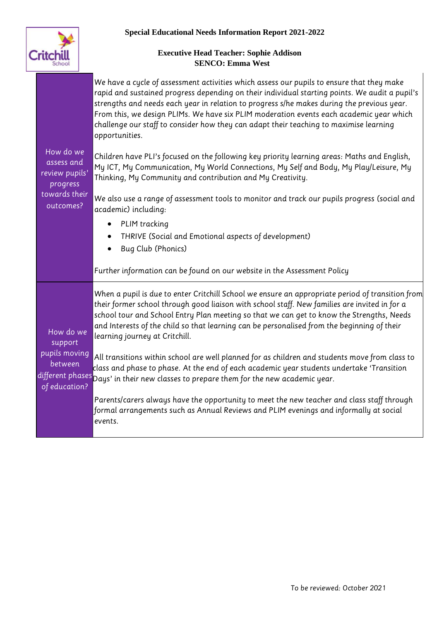

| How do we<br>assess and<br>review pupils'                         | We have a cycle of assessment activities which assess our pupils to ensure that they make<br>rapid and sustained progress depending on their individual starting points. We audit a pupil's<br>strengths and needs each year in relation to progress s/he makes during the previous year.<br>From this, we design PLIMs. We have six PLIM moderation events each academic year which<br>challenge our staff to consider how they can adapt their teaching to maximise learning<br>opportunities.<br>Children have PLI's focused on the following key priority learning areas: Maths and English,<br>My ICT, My Communication, My World Connections, My Self and Body, My Play/Leisure, My |
|-------------------------------------------------------------------|-------------------------------------------------------------------------------------------------------------------------------------------------------------------------------------------------------------------------------------------------------------------------------------------------------------------------------------------------------------------------------------------------------------------------------------------------------------------------------------------------------------------------------------------------------------------------------------------------------------------------------------------------------------------------------------------|
| progress<br>towards their<br>outcomes?                            | Thinking, My Community and contribution and My Creativity.<br>We also use a range of assessment tools to monitor and track our pupils progress (social and                                                                                                                                                                                                                                                                                                                                                                                                                                                                                                                                |
|                                                                   | academic) including:                                                                                                                                                                                                                                                                                                                                                                                                                                                                                                                                                                                                                                                                      |
|                                                                   | PLIM tracking<br>$\bullet$                                                                                                                                                                                                                                                                                                                                                                                                                                                                                                                                                                                                                                                                |
|                                                                   | THRIVE (Social and Emotional aspects of development)                                                                                                                                                                                                                                                                                                                                                                                                                                                                                                                                                                                                                                      |
|                                                                   | Bug Club (Phonics)                                                                                                                                                                                                                                                                                                                                                                                                                                                                                                                                                                                                                                                                        |
|                                                                   | Further information can be found on our website in the Assessment Policy                                                                                                                                                                                                                                                                                                                                                                                                                                                                                                                                                                                                                  |
| How do we<br>support<br>pupils moving<br>between<br>of education? | When a pupil is due to enter Critchill School we ensure an appropriate period of transition from<br>their former school through good liaison with school staff. New families are invited in for a<br>school tour and School Entry Plan meeting so that we can get to know the Strengths, Needs<br>and Interests of the child so that learning can be personalised from the beginning of their<br>learning journey at Critchill.                                                                                                                                                                                                                                                           |
|                                                                   | All transitions within school are well planned for as children and students move from class to<br>class and phase to phase. At the end of each academic year students undertake 'Transition<br>different phases pays' in their new classes to prepare them for the new academic year.                                                                                                                                                                                                                                                                                                                                                                                                     |
|                                                                   | Parents/carers always have the opportunity to meet the new teacher and class staff through<br>formal arrangements such as Annual Reviews and PLIM evenings and informally at social<br>events.                                                                                                                                                                                                                                                                                                                                                                                                                                                                                            |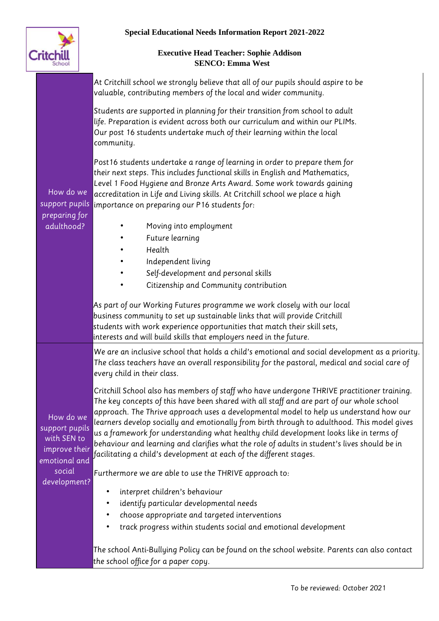

| How do we<br>support pupils                                                                            | At Critchill school we strongly believe that all of our pupils should aspire to be<br>valuable, contributing members of the local and wider community.                                                                                                                                                                                                                                                                                                                                                                                                                                                                                             |
|--------------------------------------------------------------------------------------------------------|----------------------------------------------------------------------------------------------------------------------------------------------------------------------------------------------------------------------------------------------------------------------------------------------------------------------------------------------------------------------------------------------------------------------------------------------------------------------------------------------------------------------------------------------------------------------------------------------------------------------------------------------------|
|                                                                                                        | Students are supported in planning for their transition from school to adult<br>life. Preparation is evident across both our curriculum and within our PLIMs.<br>Our post 16 students undertake much of their learning within the local<br>community.                                                                                                                                                                                                                                                                                                                                                                                              |
|                                                                                                        | Post 16 students undertake a range of learning in order to prepare them for<br>their next steps. This includes functional skills in English and Mathematics,<br>Level 1 Food Hygiene and Bronze Arts Award. Some work towards gaining<br>accreditation in Life and Living skills. At Critchill school we place a high<br>importance on preparing our P16 students for:                                                                                                                                                                                                                                                                             |
| preparing for<br>adulthood?                                                                            | Moving into employment                                                                                                                                                                                                                                                                                                                                                                                                                                                                                                                                                                                                                             |
|                                                                                                        | Future learning                                                                                                                                                                                                                                                                                                                                                                                                                                                                                                                                                                                                                                    |
|                                                                                                        | Health<br>$\bullet$                                                                                                                                                                                                                                                                                                                                                                                                                                                                                                                                                                                                                                |
|                                                                                                        | Independent living                                                                                                                                                                                                                                                                                                                                                                                                                                                                                                                                                                                                                                 |
|                                                                                                        | Self-development and personal skills<br>$\bullet$                                                                                                                                                                                                                                                                                                                                                                                                                                                                                                                                                                                                  |
|                                                                                                        | Citizenship and Community contribution<br>$\bullet$                                                                                                                                                                                                                                                                                                                                                                                                                                                                                                                                                                                                |
|                                                                                                        | As part of our Working Futures programme we work closely with our local<br>business community to set up sustainable links that will provide Critchill<br>students with work experience opportunities that match their skill sets,<br>interests and will build skills that employers need in the future.                                                                                                                                                                                                                                                                                                                                            |
| How do we<br>support pupils<br>with SEN to<br>improve their<br>emotional and<br>social<br>development? | We are an inclusive school that holds a child's emotional and social development as a priority.<br>The class teachers have an overall responsibility for the pastoral, medical and social care of<br>every child in their class.                                                                                                                                                                                                                                                                                                                                                                                                                   |
|                                                                                                        | Critchill School also has members of staff who have undergone THRIVE practitioner training.<br>The key concepts of this have been shared with all staff and are part of our whole school<br>approach. The Thrive approach uses a developmental model to help us understand how our<br>learners develop socially and emotionally from birth through to adulthood. This model gives<br>us a framework for understanding what healthy child development looks like in terms of<br>behaviour and learning and clarifies what the role of adults in student's lives should be in<br>facilitating a child's development at each of the different stages. |
|                                                                                                        | Furthermore we are able to use the THRIVE approach to:                                                                                                                                                                                                                                                                                                                                                                                                                                                                                                                                                                                             |
|                                                                                                        | interpret children's behaviour<br>٠                                                                                                                                                                                                                                                                                                                                                                                                                                                                                                                                                                                                                |
|                                                                                                        | identify particular developmental needs<br>$\bullet$                                                                                                                                                                                                                                                                                                                                                                                                                                                                                                                                                                                               |
|                                                                                                        | choose appropriate and targeted interventions                                                                                                                                                                                                                                                                                                                                                                                                                                                                                                                                                                                                      |
|                                                                                                        | track progress within students social and emotional development                                                                                                                                                                                                                                                                                                                                                                                                                                                                                                                                                                                    |
|                                                                                                        | The school Anti-Bullying Policy can be found on the school website. Parents can also contact                                                                                                                                                                                                                                                                                                                                                                                                                                                                                                                                                       |
|                                                                                                        | the school office for a paper copy.                                                                                                                                                                                                                                                                                                                                                                                                                                                                                                                                                                                                                |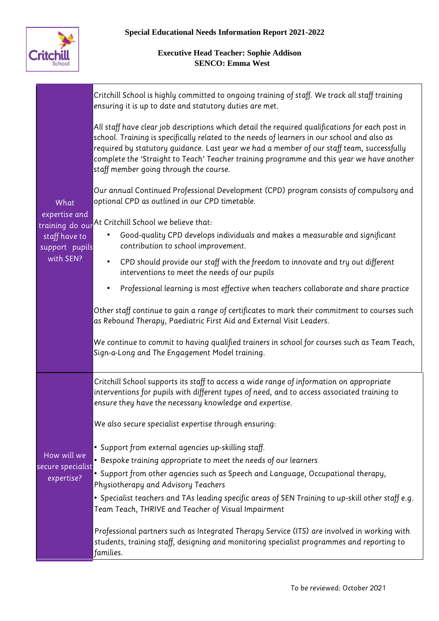

| What<br>expertise and<br>training do our<br>staff have to<br>support pupils | Critchill School is highly committed to ongoing training of staff. We track all staff training<br>ensuring it is up to date and statutory duties are met.                                                                                                                                                                                                                                                                          |
|-----------------------------------------------------------------------------|------------------------------------------------------------------------------------------------------------------------------------------------------------------------------------------------------------------------------------------------------------------------------------------------------------------------------------------------------------------------------------------------------------------------------------|
|                                                                             | All staff have clear job descriptions which detail the required qualifications for each post in<br>school. Training is specifically related to the needs of learners in our school and also as<br>required by statutory guidance. Last year we had a member of our staff team, successfully<br>complete the 'Straight to Teach' Teacher training programme and this year we have another<br>staff member going through the course. |
|                                                                             | Our annual Continued Professional Development (CPD) program consists of compulsory and<br>optional CPD as outlined in our CPD timetable.                                                                                                                                                                                                                                                                                           |
|                                                                             | At Critchill School we believe that:<br>Good-quality CPD develops individuals and makes a measurable and significant<br>contribution to school improvement.                                                                                                                                                                                                                                                                        |
| with SEN?                                                                   | CPD should provide our staff with the freedom to innovate and try out different<br>$\bullet$<br>interventions to meet the needs of our pupils                                                                                                                                                                                                                                                                                      |
|                                                                             | Professional learning is most effective when teachers collaborate and share practice                                                                                                                                                                                                                                                                                                                                               |
|                                                                             | Other staff continue to gain a range of certificates to mark their commitment to courses such<br>as Rebound Therapy, Paediatric First Aid and External Visit Leaders.                                                                                                                                                                                                                                                              |
|                                                                             | We continue to commit to having qualified trainers in school for courses such as Team Teach,<br>Sign-a-Long and The Engagement Model training.                                                                                                                                                                                                                                                                                     |
|                                                                             | Critchill School supports its staff to access a wide range of information on appropriate<br>interventions for pupils with different types of need, and to access associated training to<br>ensure they have the necessary knowledge and expertise.                                                                                                                                                                                 |
|                                                                             | We also secure specialist expertise through ensuring:                                                                                                                                                                                                                                                                                                                                                                              |
| How will we<br>secure specialist<br>expertise?                              | • Support from external agencies up-skilling staff.<br>• Bespoke training appropriate to meet the needs of our learners                                                                                                                                                                                                                                                                                                            |
|                                                                             | • Support from other agencies such as Speech and Language, Occupational therapy,<br>Physiotherapy and Advisory Teachers                                                                                                                                                                                                                                                                                                            |
|                                                                             | . Specialist teachers and TAs leading specific areas of SEN Training to up-skill other staff e.g.<br>Team Teach, THRIVE and Teacher of Visual Impairment                                                                                                                                                                                                                                                                           |
|                                                                             | Professional partners such as Integrated Therapy Service (ITS) are involved in working with<br>students, training staff, designing and monitoring specialist programmes and reporting to<br>families.                                                                                                                                                                                                                              |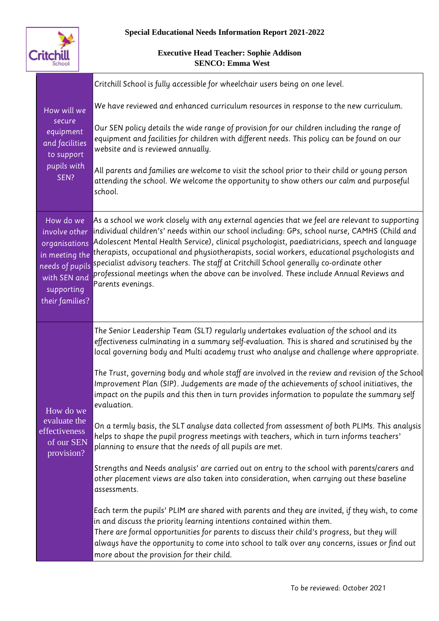

| How will we<br>secure<br>equipment<br>and facilities<br>to support<br>pupils with<br>SEN?                                         | Critchill School is fully accessible for wheelchair users being on one level.                                                                                                                                                                                                                                                                                                                                                                                                                                                                                                                              |
|-----------------------------------------------------------------------------------------------------------------------------------|------------------------------------------------------------------------------------------------------------------------------------------------------------------------------------------------------------------------------------------------------------------------------------------------------------------------------------------------------------------------------------------------------------------------------------------------------------------------------------------------------------------------------------------------------------------------------------------------------------|
|                                                                                                                                   | We have reviewed and enhanced curriculum resources in response to the new curriculum.                                                                                                                                                                                                                                                                                                                                                                                                                                                                                                                      |
|                                                                                                                                   | Our SEN policy details the wide range of provision for our children including the range of<br>equipment and facilities for children with different needs. This policy can be found on our<br>website and is reviewed annually.                                                                                                                                                                                                                                                                                                                                                                             |
|                                                                                                                                   | All parents and families are welcome to visit the school prior to their child or young person<br>attending the school. We welcome the opportunity to show others our calm and purposeful<br>school.                                                                                                                                                                                                                                                                                                                                                                                                        |
| How do we<br>involve other<br>organisations<br>in meeting the<br>needs of pupils<br>with SEN and<br>supporting<br>their families? | As a school we work closely with any external agencies that we feel are relevant to supporting<br>individual children's' needs within our school including: GPs, school nurse, CAMHS (Child and<br>Adolescent Mental Health Service), clinical psychologist, paediatricians, speech and language<br>therapists, occupational and physiotherapists, social workers, educational psychologists and<br>specialist advisory teachers. The staff at Critchill School generally co-ordinate other<br>professional meetings when the above can be involved. These include Annual Reviews and<br>Parents evenings. |
| How do we<br>evaluate the<br>effectiveness<br>of our SEN<br>provision?                                                            | The Senior Leadership Team (SLT) regularly undertakes evaluation of the school and its<br>effectiveness culminating in a summary self-evaluation. This is shared and scrutinised by the<br>local governing body and Multi academy trust who analyse and challenge where appropriate.                                                                                                                                                                                                                                                                                                                       |
|                                                                                                                                   | The Trust, governing body and whole staff are involved in the review and revision of the School<br>Improvement Plan (SIP). Judgements are made of the achievements of school initiatives, the<br>impact on the pupils and this then in turn provides information to populate the summary self<br>evaluation.                                                                                                                                                                                                                                                                                               |
|                                                                                                                                   | On a termly basis, the SLT analyse data collected from assessment of both PLIMs. This analysis<br>helps to shape the pupil progress meetings with teachers, which in turn informs teachers'<br>planning to ensure that the needs of all pupils are met.                                                                                                                                                                                                                                                                                                                                                    |
|                                                                                                                                   | Strengths and Needs analysis' are carried out on entry to the school with parents/carers and<br>other placement views are also taken into consideration, when carrying out these baseline<br>assessments.                                                                                                                                                                                                                                                                                                                                                                                                  |
|                                                                                                                                   | Each term the pupils' PLIM are shared with parents and they are invited, if they wish, to come<br>in and discuss the priority learning intentions contained within them.<br>There are formal opportunities for parents to discuss their child's progress, but they will<br>always have the opportunity to come into school to talk over any concerns, issues or find out<br>more about the provision for their child.                                                                                                                                                                                      |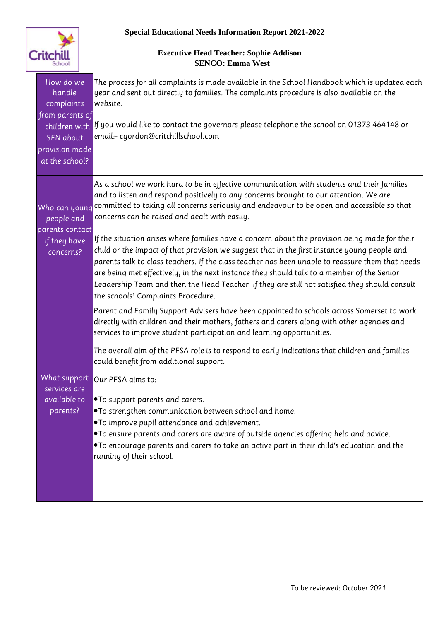

| children with If you would like to contact the governors please telephone the school on 01373 464148 or                                                                                                                                                                                                                                                                                             |
|-----------------------------------------------------------------------------------------------------------------------------------------------------------------------------------------------------------------------------------------------------------------------------------------------------------------------------------------------------------------------------------------------------|
| As a school we work hard to be in effective communication with students and their families<br>committed to taking all concerns seriously and endeavour to be open and accessible so that                                                                                                                                                                                                            |
| If the situation arises where families have a concern about the provision being made for their<br>child or the impact of that provision we suggest that in the first instance young people and<br>parents talk to class teachers. If the class teacher has been unable to reassure them that needs<br>Leadership Team and then the Head Teacher If they are still not satisfied they should consult |
| Parent and Family Support Advisers have been appointed to schools across Somerset to work                                                                                                                                                                                                                                                                                                           |
| The overall aim of the PFSA role is to respond to early indications that children and families                                                                                                                                                                                                                                                                                                      |
|                                                                                                                                                                                                                                                                                                                                                                                                     |
|                                                                                                                                                                                                                                                                                                                                                                                                     |
| directly with children and their mothers, fathers and carers along with other agencies and<br>. To encourage parents and carers to take an active part in their child's education and the                                                                                                                                                                                                           |